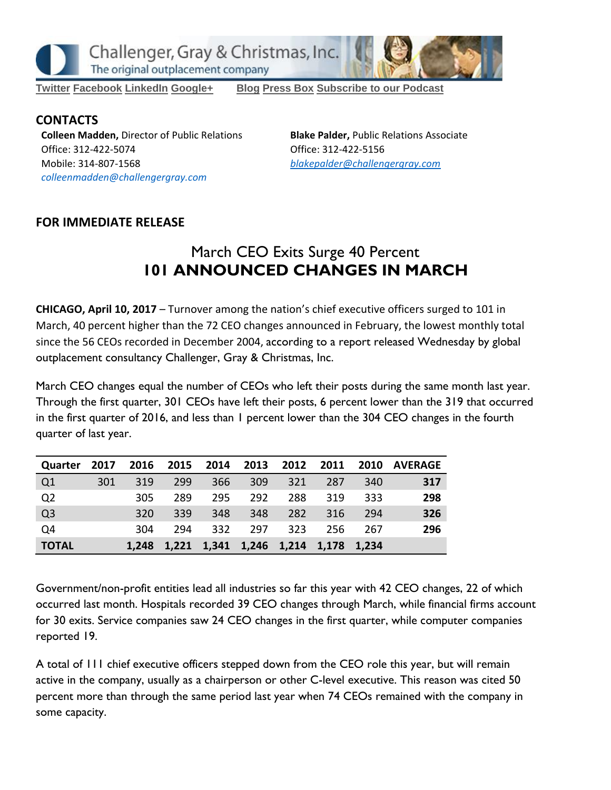



**[Twitter](https://twitter.com/#!/ChallengerGray) [Facebook](https://www.facebook.com/ChallengerGray) [LinkedIn](http://www.linkedin.com/company/28264?trk=tyah) [Google+](https://plus.google.com/b/114363499979264115698/114363499979264115698) [Blog](http://www.challengergray.com/press/blog) [Press](http://www.challengergray.com/press/press-releases) Box [Subscribe](https://itunes.apple.com/us/podcast/challenger-podcast-hr-passport/id1155541697?mt=2) to our Podcast**

**CONTACTS Colleen Madden,** Director of Public Relations Office: 312-422-5074 Mobile: 314-807-1568 *[colleenmadden@challengergray.com](mailto:colleenmadden@challengergray.com)*

**Blake Palder,** Public Relations Associate Office: 312-422-5156 *[blakepalder@challengergray.com](mailto:blakepalder@challengergray.com)*

#### **FOR IMMEDIATE RELEASE**

# March CEO Exits Surge 40 Percent **101 ANNOUNCED CHANGES IN MARCH**

**CHICAGO, April 10, 2017** – Turnover among the nation's chief executive officers surged to 101 in March, 40 percent higher than the 72 CEO changes announced in February, the lowest monthly total since the 56 CEOs recorded in December 2004, according to a report released Wednesday by global outplacement consultancy Challenger, Gray & Christmas, Inc.

March CEO changes equal the number of CEOs who left their posts during the same month last year. Through the first quarter, 301 CEOs have left their posts, 6 percent lower than the 319 that occurred in the first quarter of 2016, and less than 1 percent lower than the 304 CEO changes in the fourth quarter of last year.

| Quarter        | 2017 |       | 2016 2015 2014 |     | 2013 | 2012                                | 2011 |     | 2010 AVERAGE |
|----------------|------|-------|----------------|-----|------|-------------------------------------|------|-----|--------------|
| Q1             | 301  | 319   | 299            | 366 | 309  | 321                                 | 287  | 340 | 317          |
| Q <sub>2</sub> |      | 305   | 289            | 295 | 292  | 288                                 | 319  | 333 | 298          |
| Q <sub>3</sub> |      | 320   | 339            | 348 | 348  | 282                                 | 316  | 294 | 326          |
| Q4             |      | 304   | 294            | 332 | 297  | 323                                 | 256  | 267 | 296          |
| <b>TOTAL</b>   |      | 1,248 |                |     |      | 1,221 1,341 1,246 1,214 1,178 1,234 |      |     |              |

Government/non-profit entities lead all industries so far this year with 42 CEO changes, 22 of which occurred last month. Hospitals recorded 39 CEO changes through March, while financial firms account for 30 exits. Service companies saw 24 CEO changes in the first quarter, while computer companies reported 19.

A total of 111 chief executive officers stepped down from the CEO role this year, but will remain active in the company, usually as a chairperson or other C-level executive. This reason was cited 50 percent more than through the same period last year when 74 CEOs remained with the company in some capacity.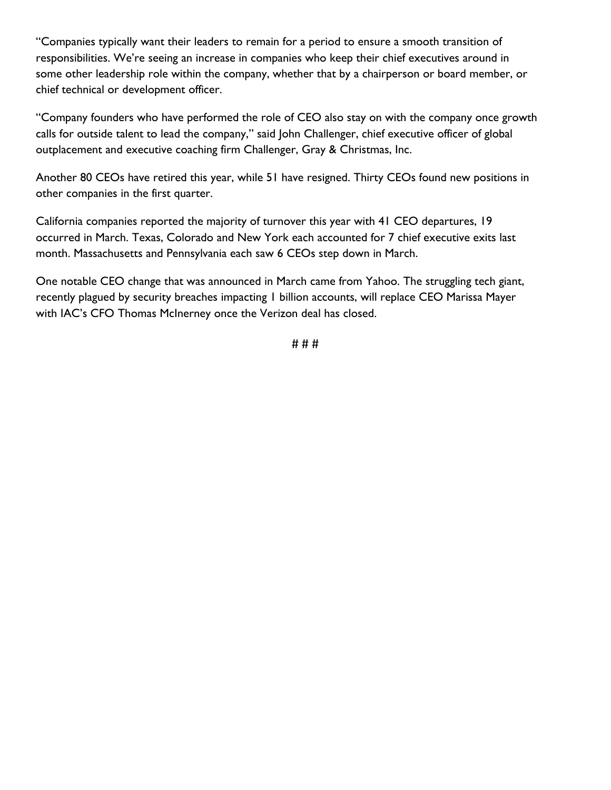"Companies typically want their leaders to remain for a period to ensure a smooth transition of responsibilities. We're seeing an increase in companies who keep their chief executives around in some other leadership role within the company, whether that by a chairperson or board member, or chief technical or development officer.

"Company founders who have performed the role of CEO also stay on with the company once growth calls for outside talent to lead the company," said John Challenger, chief executive officer of global outplacement and executive coaching firm Challenger, Gray & Christmas, Inc.

Another 80 CEOs have retired this year, while 51 have resigned. Thirty CEOs found new positions in other companies in the first quarter.

California companies reported the majority of turnover this year with 41 CEO departures, 19 occurred in March. Texas, Colorado and New York each accounted for 7 chief executive exits last month. Massachusetts and Pennsylvania each saw 6 CEOs step down in March.

One notable CEO change that was announced in March came from Yahoo. The struggling tech giant, recently plagued by security breaches impacting 1 billion accounts, will replace CEO Marissa Mayer with IAC's CFO Thomas McInerney once the Verizon deal has closed.

# # #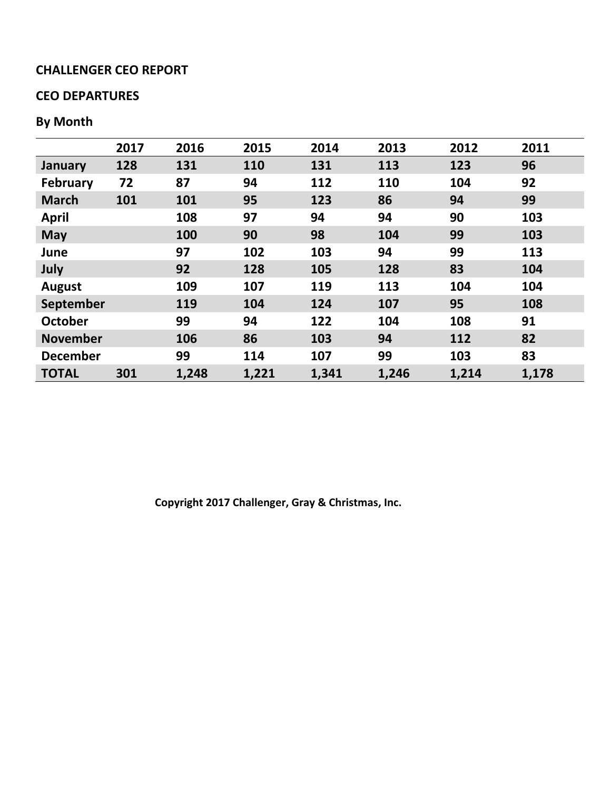#### **CEO DEPARTURES**

## **By Month**

|                 | 2017 | 2016  | 2015  | 2014  | 2013  | 2012  | 2011  |
|-----------------|------|-------|-------|-------|-------|-------|-------|
| January         | 128  | 131   | 110   | 131   | 113   | 123   | 96    |
| <b>February</b> | 72   | 87    | 94    | 112   | 110   | 104   | 92    |
| <b>March</b>    | 101  | 101   | 95    | 123   | 86    | 94    | 99    |
| <b>April</b>    |      | 108   | 97    | 94    | 94    | 90    | 103   |
| <b>May</b>      |      | 100   | 90    | 98    | 104   | 99    | 103   |
| June            |      | 97    | 102   | 103   | 94    | 99    | 113   |
| July            |      | 92    | 128   | 105   | 128   | 83    | 104   |
| <b>August</b>   |      | 109   | 107   | 119   | 113   | 104   | 104   |
| September       |      | 119   | 104   | 124   | 107   | 95    | 108   |
| <b>October</b>  |      | 99    | 94    | 122   | 104   | 108   | 91    |
| <b>November</b> |      | 106   | 86    | 103   | 94    | 112   | 82    |
| <b>December</b> |      | 99    | 114   | 107   | 99    | 103   | 83    |
| <b>TOTAL</b>    | 301  | 1,248 | 1,221 | 1,341 | 1,246 | 1,214 | 1,178 |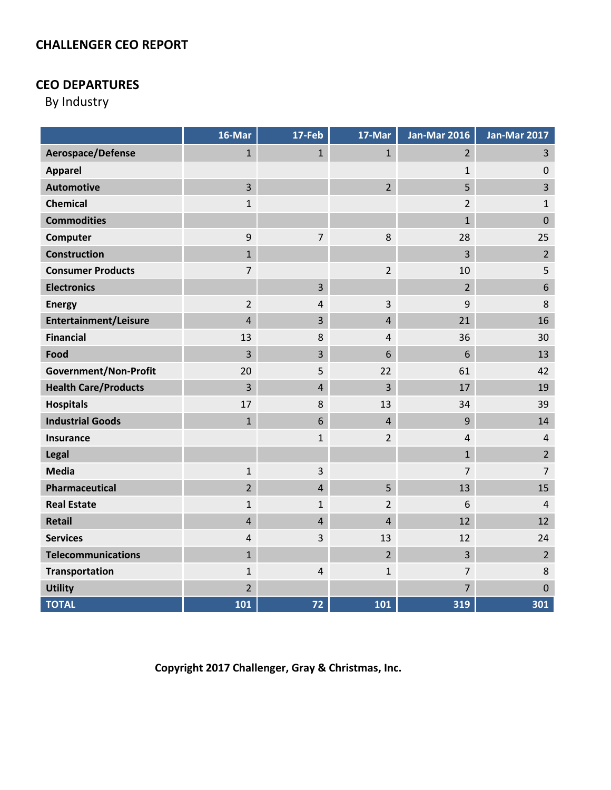## **CEO DEPARTURES**

By Industry

|                              | 16-Mar                  | 17-Feb         | 17-Mar         | <b>Jan-Mar 2016</b> | <b>Jan-Mar 2017</b> |
|------------------------------|-------------------------|----------------|----------------|---------------------|---------------------|
| Aerospace/Defense            | $\mathbf{1}$            | $\mathbf{1}$   | $\mathbf{1}$   | $\overline{2}$      | 3                   |
| <b>Apparel</b>               |                         |                |                | $\mathbf{1}$        | $\overline{0}$      |
| <b>Automotive</b>            | $\overline{\mathbf{3}}$ |                | $\overline{2}$ | 5                   | $\overline{3}$      |
| Chemical                     | $\mathbf{1}$            |                |                | $\overline{2}$      | $\mathbf{1}$        |
| <b>Commodities</b>           |                         |                |                | $\mathbf{1}$        | $\mathbf 0$         |
| Computer                     | 9                       | $\overline{7}$ | 8              | 28                  | 25                  |
| <b>Construction</b>          | $\mathbf{1}$            |                |                | $\overline{3}$      | $\overline{2}$      |
| <b>Consumer Products</b>     | $\overline{7}$          |                | $\overline{2}$ | 10                  | 5                   |
| <b>Electronics</b>           |                         | 3              |                | $\overline{2}$      | 6                   |
| <b>Energy</b>                | $\overline{2}$          | 4              | 3              | 9                   | 8                   |
| Entertainment/Leisure        | $\overline{4}$          | 3              | $\overline{4}$ | 21                  | 16                  |
| <b>Financial</b>             | 13                      | 8              | $\overline{4}$ | 36                  | 30                  |
| Food                         | 3                       | 3              | 6              | 6                   | 13                  |
| <b>Government/Non-Profit</b> | 20                      | 5              | 22             | 61                  | 42                  |
| <b>Health Care/Products</b>  | 3                       | $\overline{4}$ | 3              | 17                  | 19                  |
| <b>Hospitals</b>             | 17                      | 8              | 13             | 34                  | 39                  |
| <b>Industrial Goods</b>      | $\mathbf 1$             | 6              | $\overline{4}$ | 9                   | 14                  |
| <b>Insurance</b>             |                         | $\mathbf 1$    | $\overline{2}$ | $\overline{4}$      | $\overline{4}$      |
| <b>Legal</b>                 |                         |                |                | $\mathbf{1}$        | $\overline{2}$      |
| <b>Media</b>                 | $\mathbf{1}$            | 3              |                | $\overline{7}$      | $\overline{7}$      |
| Pharmaceutical               | $\overline{2}$          | $\overline{4}$ | 5              | 13                  | 15                  |
| <b>Real Estate</b>           | $\mathbf{1}$            | $\mathbf{1}$   | $\overline{2}$ | 6                   | $\overline{4}$      |
| <b>Retail</b>                | $\overline{4}$          | $\overline{4}$ | $\overline{4}$ | 12                  | 12                  |
| <b>Services</b>              | $\sqrt{4}$              | 3              | 13             | 12                  | 24                  |
| <b>Telecommunications</b>    | $\mathbf{1}$            |                | $\overline{2}$ | $\overline{3}$      | $\overline{2}$      |
| <b>Transportation</b>        | $\mathbf{1}$            | 4              | $\mathbf{1}$   | $\overline{7}$      | 8                   |
| <b>Utility</b>               | $\overline{2}$          |                |                | 7                   | $\mathbf 0$         |
| <b>TOTAL</b>                 | 101                     | 72             | 101            | 319                 | 301                 |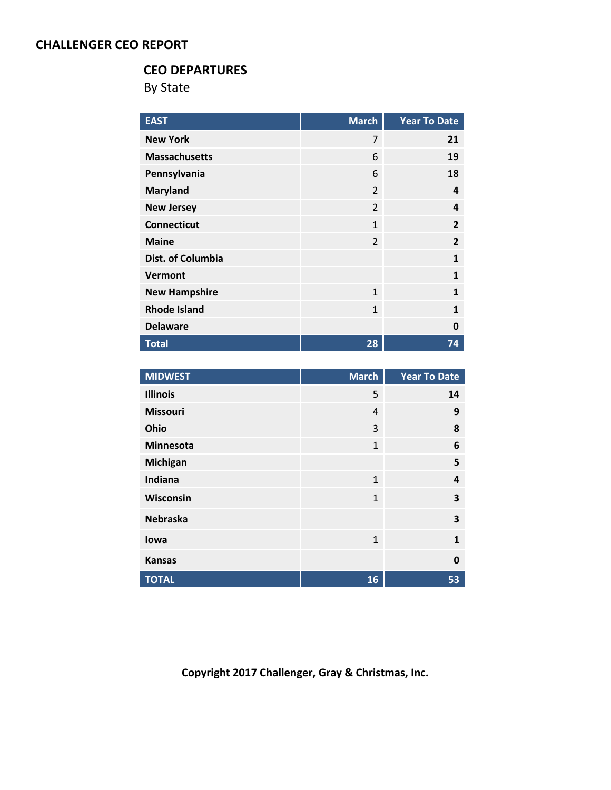## **CEO DEPARTURES**

By State

| <b>EAST</b>          | <b>March</b>             | <b>Year To Date</b> |
|----------------------|--------------------------|---------------------|
| <b>New York</b>      | 7                        | 21                  |
| <b>Massachusetts</b> | 6                        | 19                  |
| Pennsylvania         | 6                        | 18                  |
| <b>Maryland</b>      | $\overline{2}$           | 4                   |
| <b>New Jersey</b>    | $\overline{\mathcal{L}}$ | 4                   |
| <b>Connecticut</b>   | $\mathbf{1}$             | $\overline{2}$      |
| <b>Maine</b>         | $\overline{2}$           | $\overline{2}$      |
| Dist. of Columbia    |                          | $\mathbf{1}$        |
| <b>Vermont</b>       |                          | 1                   |
| <b>New Hampshire</b> | $\mathbf{1}$             | 1                   |
| <b>Rhode Island</b>  | $\mathbf{1}$             | 1                   |
| <b>Delaware</b>      |                          | 0                   |
| <b>Total</b>         | 28                       | 74                  |

| <b>MIDWEST</b>   | <b>March</b>   | <b>Year To Date</b> |
|------------------|----------------|---------------------|
| <b>Illinois</b>  | 5              | 14                  |
| <b>Missouri</b>  | $\overline{4}$ | 9                   |
| Ohio             | 3              | 8                   |
| <b>Minnesota</b> | $\mathbf{1}$   | 6                   |
| Michigan         |                | 5                   |
| Indiana          | $\mathbf{1}$   | 4                   |
| Wisconsin        | $\mathbf{1}$   | 3                   |
| <b>Nebraska</b>  |                | 3                   |
| lowa             | $\mathbf{1}$   | $\mathbf{1}$        |
| <b>Kansas</b>    |                | 0                   |
| <b>TOTAL</b>     | 16             | 53                  |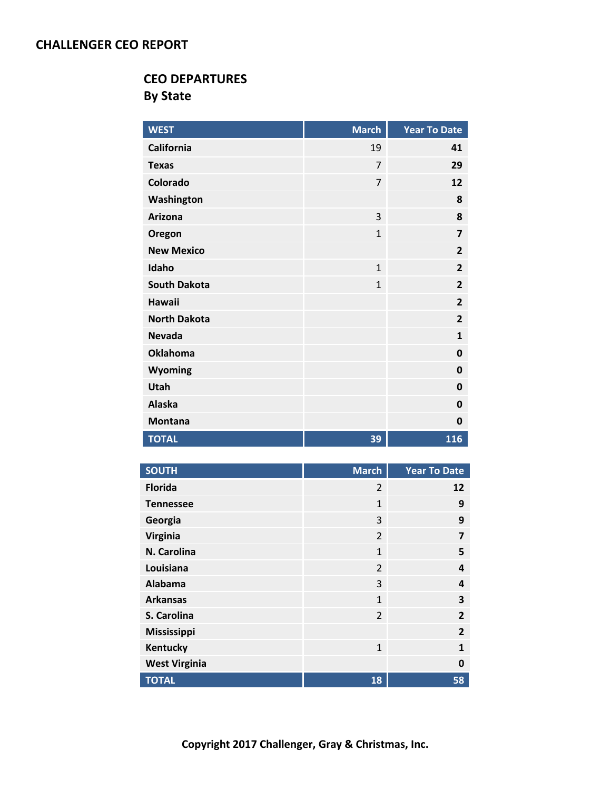# **CEO DEPARTURES By State**

| <b>WEST</b>         | <b>March</b>   | <b>Year To Date</b> |
|---------------------|----------------|---------------------|
| <b>California</b>   | 19             | 41                  |
| <b>Texas</b>        | $\overline{7}$ | 29                  |
| Colorado            | $\overline{7}$ | 12                  |
| Washington          |                | 8                   |
| Arizona             | 3              | 8                   |
| Oregon              | $\overline{1}$ | 7                   |
| <b>New Mexico</b>   |                | $\overline{2}$      |
| Idaho               | $\mathbf{1}$   | $\overline{2}$      |
| <b>South Dakota</b> | $\mathbf{1}$   | $\overline{2}$      |
| <b>Hawaii</b>       |                | $\overline{2}$      |
| <b>North Dakota</b> |                | $\overline{2}$      |
| <b>Nevada</b>       |                | $\mathbf{1}$        |
| <b>Oklahoma</b>     |                | 0                   |
| Wyoming             |                | $\mathbf 0$         |
| Utah                |                | 0                   |
| <b>Alaska</b>       |                | 0                   |
| <b>Montana</b>      |                | 0                   |
| <b>TOTAL</b>        | 39             | 116                 |

| <b>SOUTH</b>         | <b>March</b>   | <b>Year To Date</b> |
|----------------------|----------------|---------------------|
| <b>Florida</b>       | $\overline{2}$ | 12                  |
| <b>Tennessee</b>     | $\mathbf{1}$   | 9                   |
| Georgia              | 3              | 9                   |
| Virginia             | $\overline{2}$ | $\overline{7}$      |
| N. Carolina          | $\mathbf{1}$   | 5                   |
| Louisiana            | $\overline{2}$ | 4                   |
| Alabama              | 3              | 4                   |
| <b>Arkansas</b>      | $\mathbf{1}$   | 3                   |
| S. Carolina          | $\overline{2}$ | $\overline{2}$      |
| Mississippi          |                | $\overline{2}$      |
| Kentucky             | $\mathbf{1}$   | $\mathbf{1}$        |
| <b>West Virginia</b> |                | 0                   |
| <b>TOTAL</b>         | 18             | 58                  |